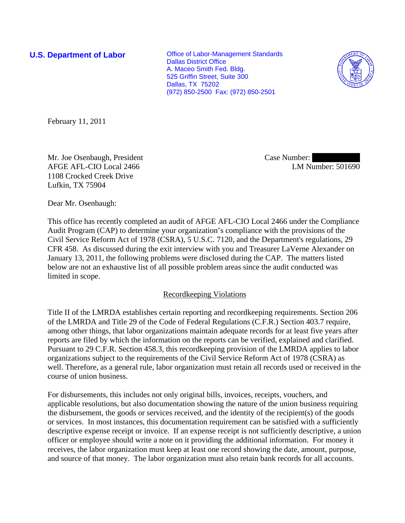**U.S. Department of Labor Conservative Conservative Conservative Conservative Conservative Conservative Conservative Conservative Conservative Conservative Conservative Conservative Conservative Conservative Conservative** Dallas District Office A. Maceo Smith Fed. Bldg. 525 Griffin Street, Suite 300 Dallas, TX 75202 (972) 850-2500 Fax: (972) 850-2501



February 11, 2011

Mr. Joe Osenbaugh, President AFGE AFL-CIO Local 2466 1108 Crocked Creek Drive Lufkin, TX 75904

Case Number: LM Number: 501690

Dear Mr. Osenbaugh:

This office has recently completed an audit of AFGE AFL-CIO Local 2466 under the Compliance Audit Program (CAP) to determine your organization's compliance with the provisions of the Civil Service Reform Act of 1978 (CSRA), 5 U.S.C. 7120, and the Department's regulations, 29 CFR 458. As discussed during the exit interview with you and Treasurer LaVerne Alexander on January 13, 2011, the following problems were disclosed during the CAP. The matters listed below are not an exhaustive list of all possible problem areas since the audit conducted was limited in scope.

# Recordkeeping Violations

Title II of the LMRDA establishes certain reporting and recordkeeping requirements. Section 206 of the LMRDA and Title 29 of the Code of Federal Regulations (C.F.R.) Section 403.7 require, among other things, that labor organizations maintain adequate records for at least five years after reports are filed by which the information on the reports can be verified, explained and clarified. Pursuant to 29 C.F.R. Section 458.3, this recordkeeping provision of the LMRDA applies to labor organizations subject to the requirements of the Civil Service Reform Act of 1978 (CSRA) as well. Therefore, as a general rule, labor organization must retain all records used or received in the course of union business.

For disbursements, this includes not only original bills, invoices, receipts, vouchers, and applicable resolutions, but also documentation showing the nature of the union business requiring the disbursement, the goods or services received, and the identity of the recipient(s) of the goods or services. In most instances, this documentation requirement can be satisfied with a sufficiently descriptive expense receipt or invoice. If an expense receipt is not sufficiently descriptive, a union officer or employee should write a note on it providing the additional information. For money it receives, the labor organization must keep at least one record showing the date, amount, purpose, and source of that money. The labor organization must also retain bank records for all accounts.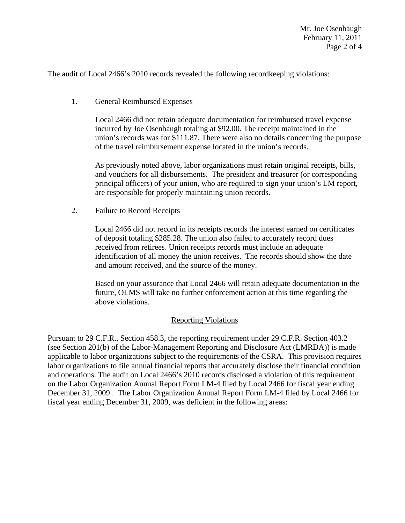The audit of Local 2466's 2010 records revealed the following recordkeeping violations:

1. General Reimbursed Expenses

Local 2466 did not retain adequate documentation for reimbursed travel expense incurred by Joe Osenbaugh totaling at \$92.00. The receipt maintained in the union's records was for \$111.87. There were also no details concerning the purpose of the travel reimbursement expense located in the union's records.

As previously noted above, labor organizations must retain original receipts, bills, and vouchers for all disbursements. The president and treasurer (or corresponding principal officers) of your union, who are required to sign your union's LM report, are responsible for properly maintaining union records.

2. Failure to Record Receipts

Local 2466 did not record in its receipts records the interest earned on certificates of deposit totaling \$285.28. The union also failed to accurately record dues received from retirees. Union receipts records must include an adequate identification of all money the union receives. The records should show the date and amount received, and the source of the money.

Based on your assurance that Local 2466 will retain adequate documentation in the future, OLMS will take no further enforcement action at this time regarding the above violations.

# Reporting Violations

Pursuant to 29 C.F.R., Section 458.3, the reporting requirement under 29 C.F.R. Section 403.2 (see Section 201(b) of the Labor-Management Reporting and Disclosure Act (LMRDA)) is made applicable to labor organizations subject to the requirements of the CSRA. This provision requires labor organizations to file annual financial reports that accurately disclose their financial condition and operations. The audit on Local 2466's 2010 records disclosed a violation of this requirement on the Labor Organization Annual Report Form LM-4 filed by Local 2466 for fiscal year ending December 31, 2009 . The Labor Organization Annual Report Form LM-4 filed by Local 2466 for fiscal year ending December 31, 2009, was deficient in the following areas: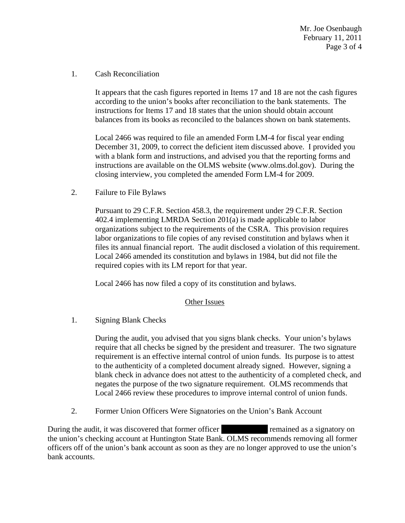Mr. Joe Osenbaugh February 11, 2011 Page 3 of 4

### 1. Cash Reconciliation

It appears that the cash figures reported in Items 17 and 18 are not the cash figures according to the union's books after reconciliation to the bank statements. The instructions for Items 17 and 18 states that the union should obtain account balances from its books as reconciled to the balances shown on bank statements.

Local 2466 was required to file an amended Form LM-4 for fiscal year ending December 31, 2009, to correct the deficient item discussed above. I provided you with a blank form and instructions, and advised you that the reporting forms and instructions are available on the OLMS website (www.olms.dol.gov). During the closing interview, you completed the amended Form LM-4 for 2009.

2. Failure to File Bylaws

Pursuant to 29 C.F.R. Section 458.3, the requirement under 29 C.F.R. Section 402.4 implementing LMRDA Section 201(a) is made applicable to labor organizations subject to the requirements of the CSRA. This provision requires labor organizations to file copies of any revised constitution and bylaws when it files its annual financial report. The audit disclosed a violation of this requirement. Local 2466 amended its constitution and bylaws in 1984, but did not file the required copies with its LM report for that year.

Local 2466 has now filed a copy of its constitution and bylaws.

# Other Issues

1. Signing Blank Checks

During the audit, you advised that you signs blank checks. Your union's bylaws require that all checks be signed by the president and treasurer. The two signature requirement is an effective internal control of union funds. Its purpose is to attest to the authenticity of a completed document already signed. However, signing a blank check in advance does not attest to the authenticity of a completed check, and negates the purpose of the two signature requirement. OLMS recommends that Local 2466 review these procedures to improve internal control of union funds.

2. Former Union Officers Were Signatories on the Union's Bank Account

During the audit, it was discovered that former officer **interest in the example of the example on** remained as a signatory on the union's checking account at Huntington State Bank. OLMS recommends removing all former officers off of the union's bank account as soon as they are no longer approved to use the union's bank accounts.